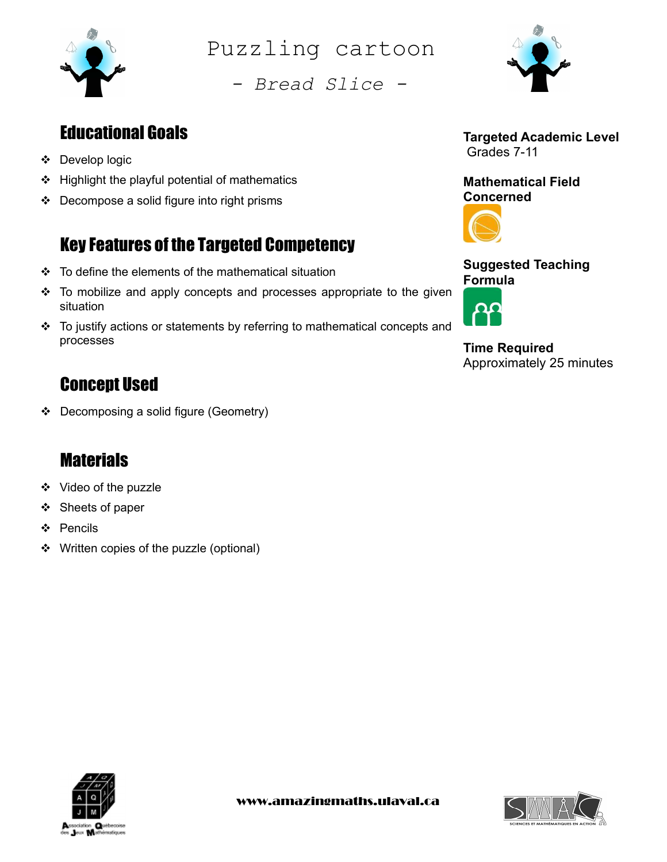

Puzzling cartoon

- Bread Slice -



### Educational Goals

- Develop logic
- $\div$  Highlight the playful potential of mathematics
- $\div$  Decompose a solid figure into right prisms

# Key Features of the Targeted Competency

- $\div$  To define the elements of the mathematical situation
- $\div$  To mobilize and apply concepts and processes appropriate to the given situation
- \* To justify actions or statements by referring to mathematical concepts and processes

# Concept Used

Decomposing a solid figure (Geometry)

## **Materials**

- Video of the puzzle
- ❖ Sheets of paper
- ❖ Pencils
- ❖ Written copies of the puzzle (optional)



Mathematical Field Concerned



Suggested Teaching Formula

Time Required Approximately 25 minutes